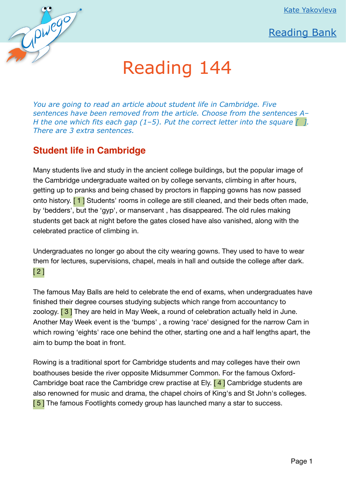[Kate Yakovleva](http://upwego.ru/index.php/me)



## Reading 144

*You are going to read an article about student life in Cambridge. Five sentences have been removed from the article. Choose from the sentences A– H the one which fits each gap (1–5). Put the correct letter into the square [ ]. There are 3 extra sentences.* 

## **Student life in Cambridge**

Нажав на эту  $ReQ$ 

[click here to](http://courses.upwego.ru) the top of

 $P_0$ 

[courses home](http://courses.upwego.ru) 

[page](http://courses.upwego.ru)

 $\curvearrowleft$  $\blacktriangleright$ [главную](http://upwego.ru)

> Many students live and study in the ancient college buildings, but the popular image of the Cambridge undergraduate waited on by college servants, climbing in after hours, getting up to pranks and being chased by proctors in flapping gowns has now passed onto history. [1] Students' rooms in college are still cleaned, and their beds often made, by 'bedders', but the 'gyp', or manservant , has disappeared. The old rules making students get back at night before the gates closed have also vanished, along with the celebrated practice of climbing in.

Undergraduates no longer go about the city wearing gowns. They used to have to wear them for lectures, supervisions, chapel, meals in hall and outside the college after dark. [ 2 ]

The famous May Balls are held to celebrate the end of exams, when undergraduates have finished their degree courses studying subjects which range from accountancy to zoology.  $\boxed{3}$  They are held in May Week, a round of celebration actually held in June. Another May Week event is the 'bumps' , a rowing 'race' designed for the narrow Cam in which rowing 'eights' race one behind the other, starting one and a half lengths apart, the aim to bump the boat in front.

Rowing is a traditional sport for Cambridge students and may colleges have their own boathouses beside the river opposite Midsummer Common. For the famous Oxford-Cambridge boat race the Cambridge crew practise at Ely. [4] Cambridge students are also renowned for music and drama, the chapel choirs of King's and St John's colleges. [5] The famous Footlights comedy group has launched many a star to success.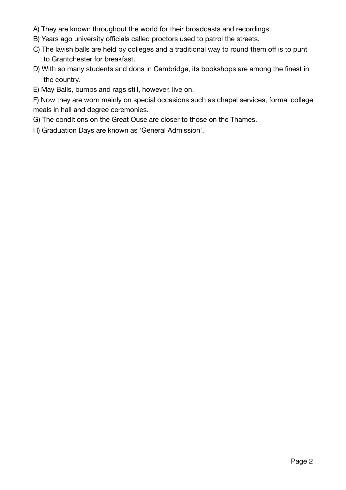- A) They are known throughout the world for their broadcasts and recordings.
- B) Years ago university officials called proctors used to patrol the streets.
- C) The lavish balls are held by colleges and a traditional way to round them off is to punt to Grantchester for breakfast.
- D) With so many students and dons in Cambridge, its bookshops are among the finest in the country.
- E) May Balls, bumps and rags still, however, live on.

F) Now they are worn mainly on special occasions such as chapel services, formal college meals in hall and degree ceremonies.

G) The conditions on the Great Ouse are closer to those on the Thames.

H) Graduation Days are known as 'General Admission'.